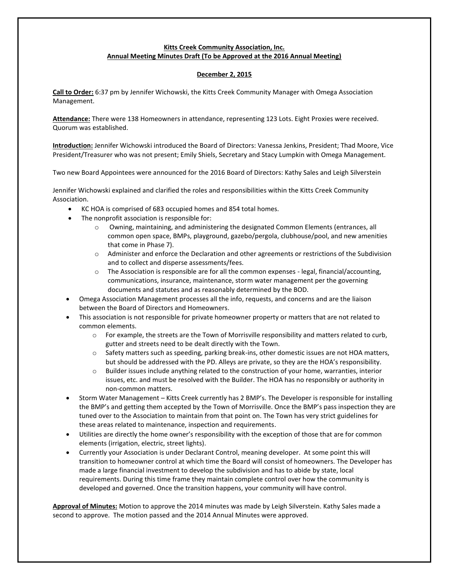# **Kitts Creek Community Association, Inc. Annual Meeting Minutes Draft (To be Approved at the 2016 Annual Meeting)**

## **December 2, 2015**

**Call to Order:** 6:37 pm by Jennifer Wichowski, the Kitts Creek Community Manager with Omega Association Management.

**Attendance:** There were 138 Homeowners in attendance, representing 123 Lots. Eight Proxies were received. Quorum was established.

**Introduction:** Jennifer Wichowski introduced the Board of Directors: Vanessa Jenkins, President; Thad Moore, Vice President/Treasurer who was not present; Emily Shiels, Secretary and Stacy Lumpkin with Omega Management.

Two new Board Appointees were announced for the 2016 Board of Directors: Kathy Sales and Leigh Silverstein

Jennifer Wichowski explained and clarified the roles and responsibilities within the Kitts Creek Community Association.

- KC HOA is comprised of 683 occupied homes and 854 total homes.
- The nonprofit association is responsible for:
	- o Owning, maintaining, and administering the designated Common Elements (entrances, all common open space, BMPs, playground, gazebo/pergola, clubhouse/pool, and new amenities that come in Phase 7).
	- o Administer and enforce the Declaration and other agreements or restrictions of the Subdivision and to collect and disperse assessments/fees.
	- $\circ$  The Association is responsible are for all the common expenses legal, financial/accounting, communications, insurance, maintenance, storm water management per the governing documents and statutes and as reasonably determined by the BOD.
- Omega Association Management processes all the info, requests, and concerns and are the liaison between the Board of Directors and Homeowners.
- This association is not responsible for private homeowner property or matters that are not related to common elements.
	- o For example, the streets are the Town of Morrisville responsibility and matters related to curb, gutter and streets need to be dealt directly with the Town.
	- o Safety matters such as speeding, parking break-ins, other domestic issues are not HOA matters, but should be addressed with the PD. Alleys are private, so they are the HOA's responsibility.
	- $\circ$  Builder issues include anything related to the construction of your home, warranties, interior issues, etc. and must be resolved with the Builder. The HOA has no responsibly or authority in non-common matters.
- Storm Water Management Kitts Creek currently has 2 BMP's. The Developer is responsible for installing the BMP's and getting them accepted by the Town of Morrisville. Once the BMP's pass inspection they are tuned over to the Association to maintain from that point on. The Town has very strict guidelines for these areas related to maintenance, inspection and requirements.
- Utilities are directly the home owner's responsibility with the exception of those that are for common elements (irrigation, electric, street lights).
- Currently your Association is under Declarant Control, meaning developer. At some point this will transition to homeowner control at which time the Board will consist of homeowners. The Developer has made a large financial investment to develop the subdivision and has to abide by state, local requirements. During this time frame they maintain complete control over how the community is developed and governed. Once the transition happens, your community will have control.

**Approval of Minutes:** Motion to approve the 2014 minutes was made by Leigh Silverstein. Kathy Sales made a second to approve. The motion passed and the 2014 Annual Minutes were approved.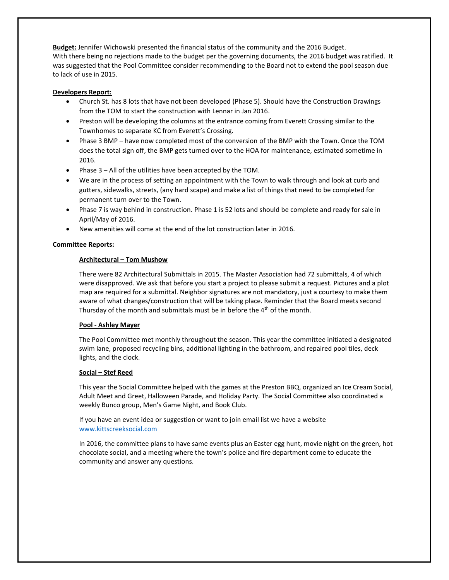**Budget:** Jennifer Wichowski presented the financial status of the community and the 2016 Budget. With there being no rejections made to the budget per the governing documents, the 2016 budget was ratified. It was suggested that the Pool Committee consider recommending to the Board not to extend the pool season due to lack of use in 2015.

#### **Developers Report:**

- Church St. has 8 lots that have not been developed (Phase 5). Should have the Construction Drawings from the TOM to start the construction with Lennar in Jan 2016.
- Preston will be developing the columns at the entrance coming from Everett Crossing similar to the Townhomes to separate KC from Everett's Crossing.
- Phase 3 BMP have now completed most of the conversion of the BMP with the Town. Once the TOM does the total sign off, the BMP gets turned over to the HOA for maintenance, estimated sometime in 2016.
- Phase 3 All of the utilities have been accepted by the TOM.
- We are in the process of setting an appointment with the Town to walk through and look at curb and gutters, sidewalks, streets, (any hard scape) and make a list of things that need to be completed for permanent turn over to the Town.
- Phase 7 is way behind in construction. Phase 1 is 52 lots and should be complete and ready for sale in April/May of 2016.
- New amenities will come at the end of the lot construction later in 2016.

## **Committee Reports:**

## **Architectural – Tom Mushow**

There were 82 Architectural Submittals in 2015. The Master Association had 72 submittals, 4 of which were disapproved. We ask that before you start a project to please submit a request. Pictures and a plot map are required for a submittal. Neighbor signatures are not mandatory, just a courtesy to make them aware of what changes/construction that will be taking place. Reminder that the Board meets second Thursday of the month and submittals must be in before the  $4<sup>th</sup>$  of the month.

#### **Pool - Ashley Mayer**

The Pool Committee met monthly throughout the season. This year the committee initiated a designated swim lane, proposed recycling bins, additional lighting in the bathroom, and repaired pool tiles, deck lights, and the clock.

#### **Social – Stef Reed**

This year the Social Committee helped with the games at the Preston BBQ, organized an Ice Cream Social, Adult Meet and Greet, Halloween Parade, and Holiday Party. The Social Committee also coordinated a weekly Bunco group, Men's Game Night, and Book Club.

If you have an event idea or suggestion or want to join email list we have a website [www.kittscreeksocial.com](http://www.kittscreeksocial.com/)

In 2016, the committee plans to have same events plus an Easter egg hunt, movie night on the green, hot chocolate social, and a meeting where the town's police and fire department come to educate the community and answer any questions.